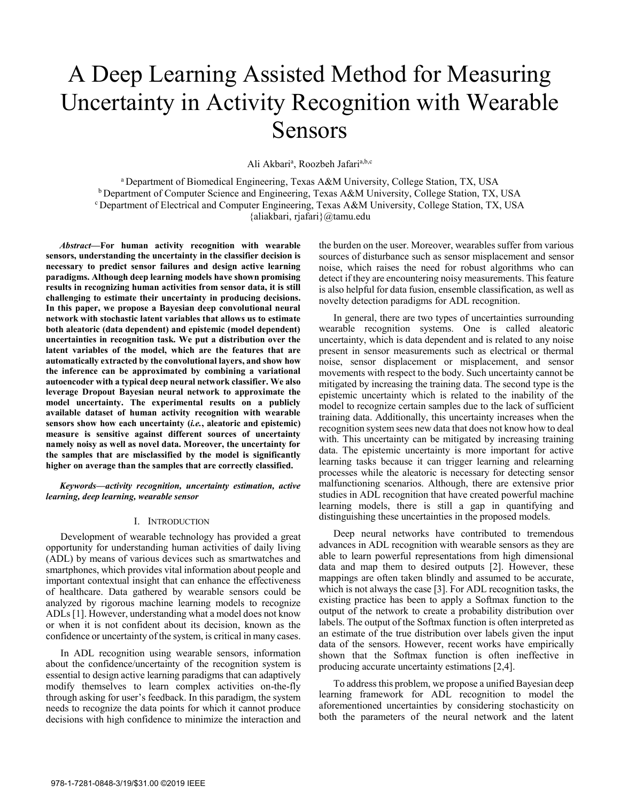# A Deep Learning Assisted Method for Measuring Uncertainty in Activity Recognition with Wearable Sensors

Ali Akbari<sup>a</sup>, Roozbeh Jafari<sup>a,b,c</sup>

a Department of Biomedical Engineering, Texas A&M University, College Station, TX, USA  $\text{b}$  Department of Computer Science and Engineering, Texas A&M University, College Station, TX, USA  $\text{c}$  Department of Electrical and Computer Engineering, Texas A&M University, College Station, TX, USA {aliakbari, rjafari}@tamu.edu

*Abstract***—For human activity recognition with wearable sensors, understanding the uncertainty in the classifier decision is necessary to predict sensor failures and design active learning paradigms. Although deep learning models have shown promising results in recognizing human activities from sensor data, it is still challenging to estimate their uncertainty in producing decisions. In this paper, we propose a Bayesian deep convolutional neural network with stochastic latent variables that allows us to estimate both aleatoric (data dependent) and epistemic (model dependent) uncertainties in recognition task. We put a distribution over the latent variables of the model, which are the features that are automatically extracted by the convolutional layers, and show how the inference can be approximated by combining a variational autoencoder with a typical deep neural network classifier. We also leverage Dropout Bayesian neural network to approximate the model uncertainty. The experimental results on a publicly available dataset of human activity recognition with wearable sensors show how each uncertainty (***i.e.***, aleatoric and epistemic) measure is sensitive against different sources of uncertainty namely noisy as well as novel data. Moreover, the uncertainty for the samples that are misclassified by the model is significantly higher on average than the samples that are correctly classified.** 

*Keywords—activity recognition, uncertainty estimation, active learning, deep learning, wearable sensor* 

#### I. INTRODUCTION

Development of wearable technology has provided a great opportunity for understanding human activities of daily living (ADL) by means of various devices such as smartwatches and smartphones, which provides vital information about people and important contextual insight that can enhance the effectiveness of healthcare. Data gathered by wearable sensors could be analyzed by rigorous machine learning models to recognize ADLs [1]. However, understanding what a model does not know or when it is not confident about its decision, known as the confidence or uncertainty of the system, is critical in many cases.

In ADL recognition using wearable sensors, information about the confidence/uncertainty of the recognition system is essential to design active learning paradigms that can adaptively modify themselves to learn complex activities on-the-fly through asking for user's feedback. In this paradigm, the system needs to recognize the data points for which it cannot produce decisions with high confidence to minimize the interaction and

the burden on the user. Moreover, wearables suffer from various sources of disturbance such as sensor misplacement and sensor noise, which raises the need for robust algorithms who can detect if they are encountering noisy measurements. This feature is also helpful for data fusion, ensemble classification, as well as novelty detection paradigms for ADL recognition.

In general, there are two types of uncertainties surrounding wearable recognition systems. One is called aleatoric uncertainty, which is data dependent and is related to any noise present in sensor measurements such as electrical or thermal noise, sensor displacement or misplacement, and sensor movements with respect to the body. Such uncertainty cannot be mitigated by increasing the training data. The second type is the epistemic uncertainty which is related to the inability of the model to recognize certain samples due to the lack of sufficient training data. Additionally, this uncertainty increases when the recognition system sees new data that does not know how to deal with. This uncertainty can be mitigated by increasing training data. The epistemic uncertainty is more important for active learning tasks because it can trigger learning and relearning processes while the aleatoric is necessary for detecting sensor malfunctioning scenarios. Although, there are extensive prior studies in ADL recognition that have created powerful machine learning models, there is still a gap in quantifying and distinguishing these uncertainties in the proposed models.

Deep neural networks have contributed to tremendous advances in ADL recognition with wearable sensors as they are able to learn powerful representations from high dimensional data and map them to desired outputs [2]. However, these mappings are often taken blindly and assumed to be accurate, which is not always the case [3]. For ADL recognition tasks, the existing practice has been to apply a Softmax function to the output of the network to create a probability distribution over labels. The output of the Softmax function is often interpreted as an estimate of the true distribution over labels given the input data of the sensors. However, recent works have empirically shown that the Softmax function is often ineffective in producing accurate uncertainty estimations [2,4].

To address this problem, we propose a unified Bayesian deep learning framework for ADL recognition to model the aforementioned uncertainties by considering stochasticity on both the parameters of the neural network and the latent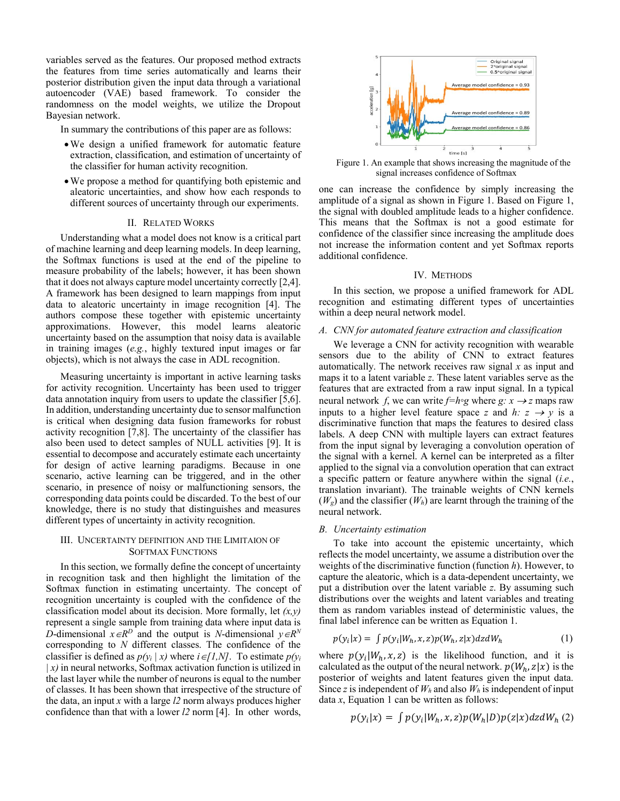variables served as the features. Our proposed method extracts the features from time series automatically and learns their posterior distribution given the input data through a variational autoencoder (VAE) based framework. To consider the randomness on the model weights, we utilize the Dropout Bayesian network.

In summary the contributions of this paper are as follows:

- We design a unified framework for automatic feature extraction, classification, and estimation of uncertainty of the classifier for human activity recognition.
- We propose a method for quantifying both epistemic and aleatoric uncertainties, and show how each responds to different sources of uncertainty through our experiments.

## II. RELATED WORKS

Understanding what a model does not know is a critical part of machine learning and deep learning models. In deep learning, the Softmax functions is used at the end of the pipeline to measure probability of the labels; however, it has been shown that it does not always capture model uncertainty correctly [2,4]. A framework has been designed to learn mappings from input data to aleatoric uncertainty in image recognition [4]. The authors compose these together with epistemic uncertainty approximations. However, this model learns aleatoric uncertainty based on the assumption that noisy data is available in training images (*e.g.*, highly textured input images or far objects), which is not always the case in ADL recognition.

Measuring uncertainty is important in active learning tasks for activity recognition. Uncertainty has been used to trigger data annotation inquiry from users to update the classifier [5,6]. In addition, understanding uncertainty due to sensor malfunction is critical when designing data fusion frameworks for robust activity recognition [7,8]. The uncertainty of the classifier has also been used to detect samples of NULL activities [9]. It is essential to decompose and accurately estimate each uncertainty for design of active learning paradigms. Because in one scenario, active learning can be triggered, and in the other scenario, in presence of noisy or malfunctioning sensors, the corresponding data points could be discarded. To the best of our knowledge, there is no study that distinguishes and measures different types of uncertainty in activity recognition.

## III. UNCERTAINTY DEFINITION AND THE LIMITAION OF SOFTMAX FUNCTIONS

In this section, we formally define the concept of uncertainty in recognition task and then highlight the limitation of the Softmax function in estimating uncertainty. The concept of recognition uncertainty is coupled with the confidence of the classification model about its decision. More formally, let *(x,y)* represent a single sample from training data where input data is *D*-dimensional  $x \in R^D$  and the output is *N*-dimensional  $y \in R^N$ corresponding to *N* different classes. The confidence of the classifier is defined as  $p(y_i | x)$  where  $i \in [1, N]$ . To estimate  $p(y_i)$ *| x)* in neural networks, Softmax activation function is utilized in the last layer while the number of neurons is equal to the number of classes. It has been shown that irrespective of the structure of the data, an input *x* with a large *l2* norm always produces higher confidence than that with a lower *l2* norm [4]. In other words,



Figure 1. An example that shows increasing the magnitude of the signal increases confidence of Softmax

one can increase the confidence by simply increasing the amplitude of a signal as shown in Figure 1. Based on Figure 1, the signal with doubled amplitude leads to a higher confidence. This means that the Softmax is not a good estimate for confidence of the classifier since increasing the amplitude does not increase the information content and yet Softmax reports additional confidence.

#### IV. METHODS

In this section, we propose a unified framework for ADL recognition and estimating different types of uncertainties within a deep neural network model.

#### *A. CNN for automated feature extraction and classification*

We leverage a CNN for activity recognition with wearable sensors due to the ability of CNN to extract features automatically. The network receives raw signal *x* as input and maps it to a latent variable *z*. These latent variables serve as the features that are extracted from a raw input signal. In a typical neural network *f*, we can write  $f=h \circ g$  where  $g: x \to z$  maps raw inputs to a higher level feature space *z* and *h*:  $z \rightarrow y$  is a discriminative function that maps the features to desired class labels. A deep CNN with multiple layers can extract features from the input signal by leveraging a convolution operation of the signal with a kernel. A kernel can be interpreted as a filter applied to the signal via a convolution operation that can extract a specific pattern or feature anywhere within the signal (*i.e.*, translation invariant). The trainable weights of CNN kernels  $(W_e)$  and the classifier  $(W_h)$  are learnt through the training of the neural network.

### *B. Uncertainty estimation*

To take into account the epistemic uncertainty, which reflects the model uncertainty, we assume a distribution over the weights of the discriminative function (function *h*). However, to capture the aleatoric, which is a data-dependent uncertainty, we put a distribution over the latent variable *z*. By assuming such distributions over the weights and latent variables and treating them as random variables instead of deterministic values, the final label inference can be written as Equation 1.

$$
p(y_i|x) = \int p(y_i|W_h, x, z)p(W_h, z|x)dz dW_h
$$
 (1)

where  $p(y_i|W_h, x, z)$  is the likelihood function, and it is calculated as the output of the neural network.  $p(W_h, z|x)$  is the posterior of weights and latent features given the input data. Since *z* is independent of  $W_h$  and also  $W_h$  is independent of input data *x*, Equation 1 can be written as follows:

$$
p(y_i|x) = \int p(y_i|W_h, x, z)p(W_h|D)p(z|x)dz dW_h(2)
$$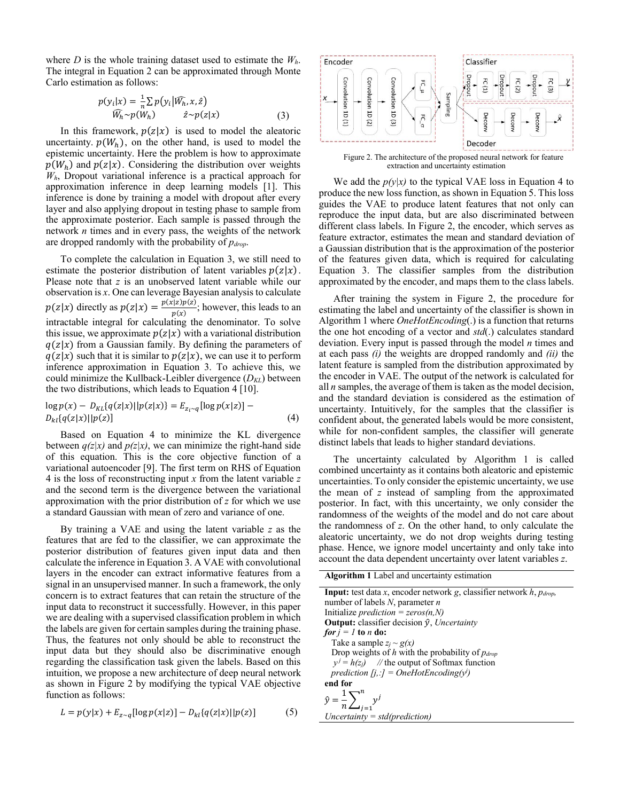where *D* is the whole training dataset used to estimate the *Wh*. The integral in Equation 2 can be approximated through Monte Carlo estimation as follows:

$$
p(y_i|x) = \frac{1}{n} \sum p(y_i|\widehat{W_h}, x, \hat{z})
$$
  

$$
\widehat{W_h} \sim p(W_h) \qquad \hat{z} \sim p(z|x)
$$
 (3)

In this framework,  $p(z|x)$  is used to model the aleatoric uncertainty.  $p(W_h)$ , on the other hand, is used to model the epistemic uncertainty. Here the problem is how to approximate  $p(W_h)$  and  $p(z|x)$ . Considering the distribution over weights *Wh*, Dropout variational inference is a practical approach for approximation inference in deep learning models [1]. This inference is done by training a model with dropout after every layer and also applying dropout in testing phase to sample from the approximate posterior. Each sample is passed through the network *n* times and in every pass, the weights of the network are dropped randomly with the probability of *pdrop*.

To complete the calculation in Equation 3, we still need to estimate the posterior distribution of latent variables  $p(z|x)$ . Please note that *z* is an unobserved latent variable while our observation is *x*. One can leverage Bayesian analysis to calculate  $p(z|x)$  directly as  $p(z|x) = \frac{p(x|z)p(z)}{p(x)}$ ; however, this leads to an intractable integral for calculating the denominator. To solve this issue, we approximate  $p(z|x)$  with a variational distribution  $q(z|x)$  from a Gaussian family. By defining the parameters of  $q(z|x)$  such that it is similar to  $p(z|x)$ , we can use it to perform inference approximation in Equation 3. To achieve this, we could minimize the Kullback-Leibler divergence (*DKL*) between the two distributions, which leads to Equation 4 [10].

$$
\log p(x) - D_{KL}{q(z|x)||p(z|x)} = E_{z_i \sim q}[\log p(x|z)] - D_{kl}{q(z|x)||p(z)}
$$
\n(4)

Based on Equation 4 to minimize the KL divergence between  $q(z|x)$  and  $p(z|x)$ , we can minimize the right-hand side of this equation. This is the core objective function of a variational autoencoder [9]. The first term on RHS of Equation 4 is the loss of reconstructing input *x* from the latent variable *z* and the second term is the divergence between the variational approximation with the prior distribution of *z* for which we use a standard Gaussian with mean of zero and variance of one.

By training a VAE and using the latent variable *z* as the features that are fed to the classifier, we can approximate the posterior distribution of features given input data and then calculate the inference in Equation 3. A VAE with convolutional layers in the encoder can extract informative features from a signal in an unsupervised manner. In such a framework, the only concern is to extract features that can retain the structure of the input data to reconstruct it successfully. However, in this paper we are dealing with a supervised classification problem in which the labels are given for certain samples during the training phase. Thus, the features not only should be able to reconstruct the input data but they should also be discriminative enough regarding the classification task given the labels. Based on this intuition, we propose a new architecture of deep neural network as shown in Figure 2 by modifying the typical VAE objective function as follows:

$$
L = p(y|x) + E_{z \sim q}[\log p(x|z)] - D_{kl}\{q(z|x)||p(z)]
$$
 (5)



Figure 2. The architecture of the proposed neural network for feature extraction and uncertainty estimation

We add the  $p(y|x)$  to the typical VAE loss in Equation 4 to produce the new loss function, as shown in Equation 5. This loss guides the VAE to produce latent features that not only can reproduce the input data, but are also discriminated between different class labels. In Figure 2, the encoder, which serves as feature extractor, estimates the mean and standard deviation of a Gaussian distribution that is the approximation of the posterior of the features given data, which is required for calculating Equation 3. The classifier samples from the distribution approximated by the encoder, and maps them to the class labels.

After training the system in Figure 2, the procedure for estimating the label and uncertainty of the classifier is shown in Algorithm 1 where *OneHotEncoding*(.) is a function that returns the one hot encoding of a vector and *std*(.) calculates standard deviation. Every input is passed through the model *n* times and at each pass *(i)* the weights are dropped randomly and *(ii)* the latent feature is sampled from the distribution approximated by the encoder in VAE. The output of the network is calculated for all *n* samples, the average of them is taken as the model decision, and the standard deviation is considered as the estimation of uncertainty. Intuitively, for the samples that the classifier is confident about, the generated labels would be more consistent, while for non-confident samples, the classifier will generate distinct labels that leads to higher standard deviations.

The uncertainty calculated by Algorithm 1 is called combined uncertainty as it contains both aleatoric and epistemic uncertainties. To only consider the epistemic uncertainty, we use the mean of *z* instead of sampling from the approximated posterior. In fact, with this uncertainty, we only consider the randomness of the weights of the model and do not care about the randomness of *z*. On the other hand, to only calculate the aleatoric uncertainty, we do not drop weights during testing phase. Hence, we ignore model uncertainty and only take into account the data dependent uncertainty over latent variables *z*.

**Algorithm 1** Label and uncertainty estimation

| <b>Input:</b> test data x, encoder network g, classifier network h, $p_{drop}$ , |
|----------------------------------------------------------------------------------|
| number of labels $N$ , parameter $n$                                             |
| Initialize <i>prediction</i> = $zeros(n, N)$                                     |
| <b>Output:</b> classifier decision $\hat{y}$ , <i>Uncertainty</i>                |
| <i>for <math>i = 1</math> to n do:</i>                                           |
| Take a sample $z_i \sim g(x)$                                                    |
| Drop weights of h with the probability of $p_{drop}$                             |
| $v^j = h(z_i)$ // the output of Softmax function                                 |
| prediction $[j, :] = OneHotEncoding(y)$                                          |
| end for                                                                          |
| $\hat{y} = \frac{1}{n} \sum_{i=1}^{n} y^{j}$                                     |
| $Uncertainty = std(prediction)$                                                  |
|                                                                                  |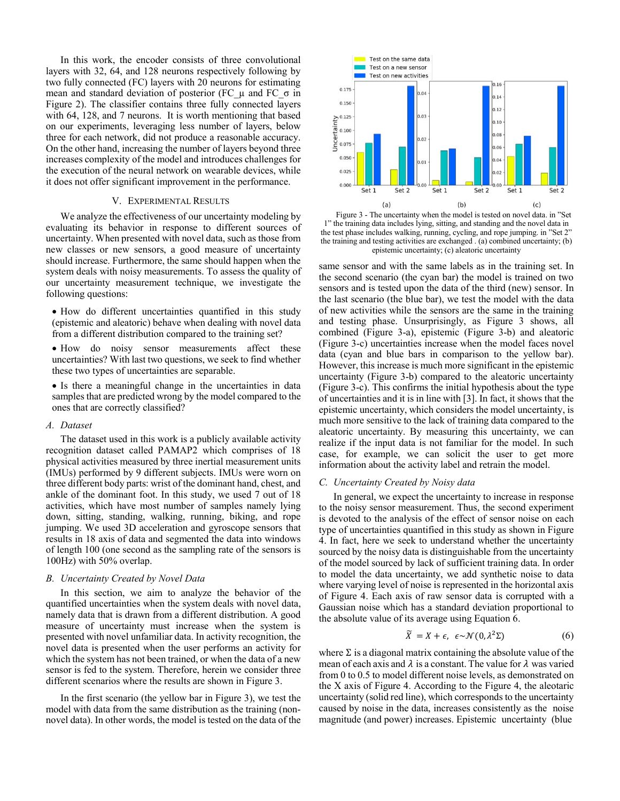In this work, the encoder consists of three convolutional layers with 32, 64, and 128 neurons respectively following by two fully connected (FC) layers with 20 neurons for estimating mean and standard deviation of posterior (FC μ and FC  $σ$  in Figure 2). The classifier contains three fully connected layers with 64, 128, and 7 neurons. It is worth mentioning that based on our experiments, leveraging less number of layers, below three for each network, did not produce a reasonable accuracy. On the other hand, increasing the number of layers beyond three increases complexity of the model and introduces challenges for the execution of the neural network on wearable devices, while it does not offer significant improvement in the performance.

## V. EXPERIMENTAL RESULTS

We analyze the effectiveness of our uncertainty modeling by evaluating its behavior in response to different sources of uncertainty. When presented with novel data, such as those from new classes or new sensors, a good measure of uncertainty should increase. Furthermore, the same should happen when the system deals with noisy measurements. To assess the quality of our uncertainty measurement technique, we investigate the following questions:

• How do different uncertainties quantified in this study (epistemic and aleatoric) behave when dealing with novel data from a different distribution compared to the training set?

• How do noisy sensor measurements affect these uncertainties? With last two questions, we seek to find whether these two types of uncertainties are separable.

• Is there a meaningful change in the uncertainties in data samples that are predicted wrong by the model compared to the ones that are correctly classified?

#### *A. Dataset*

The dataset used in this work is a publicly available activity recognition dataset called PAMAP2 which comprises of 18 physical activities measured by three inertial measurement units (IMUs) performed by 9 different subjects. IMUs were worn on three different body parts: wrist of the dominant hand, chest, and ankle of the dominant foot. In this study, we used 7 out of 18 activities, which have most number of samples namely lying down, sitting, standing, walking, running, biking, and rope jumping. We used 3D acceleration and gyroscope sensors that results in 18 axis of data and segmented the data into windows of length 100 (one second as the sampling rate of the sensors is 100Hz) with 50% overlap.

### *B. Uncertainty Created by Novel Data*

In this section, we aim to analyze the behavior of the quantified uncertainties when the system deals with novel data, namely data that is drawn from a different distribution. A good measure of uncertainty must increase when the system is presented with novel unfamiliar data. In activity recognition, the novel data is presented when the user performs an activity for which the system has not been trained, or when the data of a new sensor is fed to the system. Therefore, herein we consider three different scenarios where the results are shown in Figure 3.

In the first scenario (the yellow bar in Figure 3), we test the model with data from the same distribution as the training (nonnovel data). In other words, the model is tested on the data of the



Figure 3 - The uncertainty when the model is tested on novel data. in "Set 1" the training data includes lying, sitting, and standing and the novel data in the test phase includes walking, running, cycling, and rope jumping. in "Set 2" the training and testing activities are exchanged . (a) combined uncertainty; (b) epistemic uncertainty; (c) aleatoric uncertainty

same sensor and with the same labels as in the training set. In the second scenario (the cyan bar) the model is trained on two sensors and is tested upon the data of the third (new) sensor. In the last scenario (the blue bar), we test the model with the data of new activities while the sensors are the same in the training and testing phase. Unsurprisingly, as Figure 3 shows, all combined (Figure 3-a), epistemic (Figure 3-b) and aleatoric (Figure 3-c) uncertainties increase when the model faces novel data (cyan and blue bars in comparison to the yellow bar). However, this increase is much more significant in the epistemic uncertainty (Figure 3-b) compared to the aleatoric uncertainty (Figure 3-c). This confirms the initial hypothesis about the type of uncertainties and it is in line with [3]. In fact, it shows that the epistemic uncertainty, which considers the model uncertainty, is much more sensitive to the lack of training data compared to the aleatoric uncertainty. By measuring this uncertainty, we can realize if the input data is not familiar for the model. In such case, for example, we can solicit the user to get more information about the activity label and retrain the model.

## *C. Uncertainty Created by Noisy data*

In general, we expect the uncertainty to increase in response to the noisy sensor measurement. Thus, the second experiment is devoted to the analysis of the effect of sensor noise on each type of uncertainties quantified in this study as shown in Figure 4. In fact, here we seek to understand whether the uncertainty sourced by the noisy data is distinguishable from the uncertainty of the model sourced by lack of sufficient training data. In order to model the data uncertainty, we add synthetic noise to data where varying level of noise is represented in the horizontal axis of Figure 4. Each axis of raw sensor data is corrupted with a Gaussian noise which has a standard deviation proportional to the absolute value of its average using Equation 6.

$$
\widetilde{X} = X + \epsilon, \ \epsilon \sim \mathcal{N}(0, \lambda^2 \Sigma) \tag{6}
$$

where  $\Sigma$  is a diagonal matrix containing the absolute value of the mean of each axis and  $\lambda$  is a constant. The value for  $\lambda$  was varied from 0 to 0.5 to model different noise levels, as demonstrated on the X axis of Figure 4. According to the Figure 4, the aleotaric uncertainty (solid red line), which corresponds to the uncertainty caused by noise in the data, increases consistently as the noise magnitude (and power) increases. Epistemic uncertainty (blue